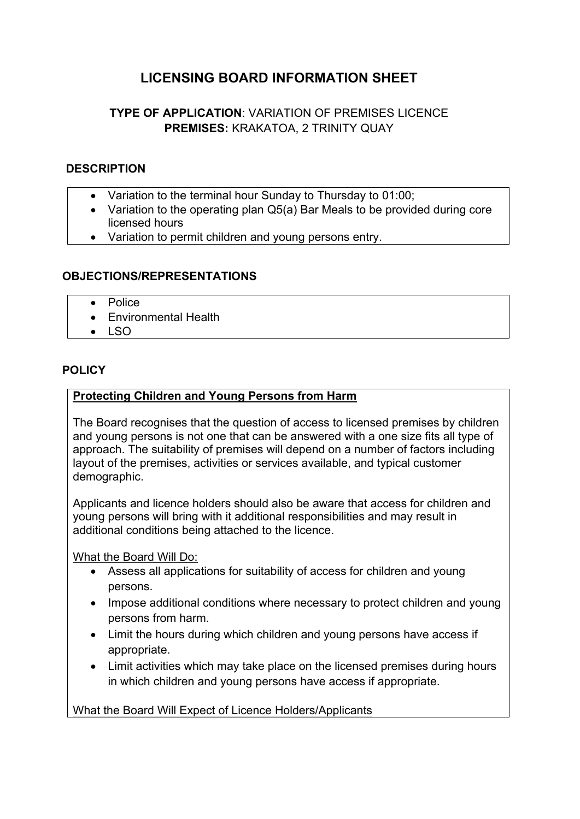# **LICENSING BOARD INFORMATION SHEET**

## **TYPE OF APPLICATION**: VARIATION OF PREMISES LICENCE **PREMISES:** KRAKATOA, 2 TRINITY QUAY

#### **DESCRIPTION**

- Variation to the terminal hour Sunday to Thursday to 01:00;
- Variation to the operating plan Q5(a) Bar Meals to be provided during core licensed hours
- Variation to permit children and young persons entry.

#### **OBJECTIONS/REPRESENTATIONS**

- Police
- **Environmental Health**
- LSO

#### **POLICY**

#### **Protecting Children and Young Persons from Harm**

The Board recognises that the question of access to licensed premises by children and young persons is not one that can be answered with a one size fits all type of approach. The suitability of premises will depend on a number of factors including layout of the premises, activities or services available, and typical customer demographic.

Applicants and licence holders should also be aware that access for children and young persons will bring with it additional responsibilities and may result in additional conditions being attached to the licence.

What the Board Will Do:

- Assess all applications for suitability of access for children and young persons.
- Impose additional conditions where necessary to protect children and young persons from harm.
- Limit the hours during which children and young persons have access if appropriate.
- Limit activities which may take place on the licensed premises during hours in which children and young persons have access if appropriate.

What the Board Will Expect of Licence Holders/Applicants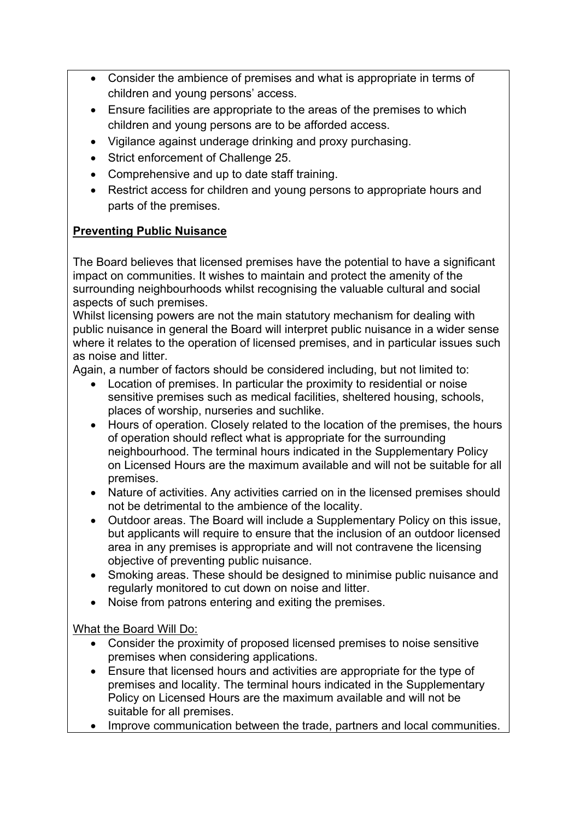- Consider the ambience of premises and what is appropriate in terms of children and young persons' access.
- Ensure facilities are appropriate to the areas of the premises to which children and young persons are to be afforded access.
- Vigilance against underage drinking and proxy purchasing.
- Strict enforcement of Challenge 25.
- Comprehensive and up to date staff training.
- Restrict access for children and young persons to appropriate hours and parts of the premises.

### **Preventing Public Nuisance**

The Board believes that licensed premises have the potential to have a significant impact on communities. It wishes to maintain and protect the amenity of the surrounding neighbourhoods whilst recognising the valuable cultural and social aspects of such premises.

Whilst licensing powers are not the main statutory mechanism for dealing with public nuisance in general the Board will interpret public nuisance in a wider sense where it relates to the operation of licensed premises, and in particular issues such as noise and litter.

Again, a number of factors should be considered including, but not limited to:

- Location of premises. In particular the proximity to residential or noise sensitive premises such as medical facilities, sheltered housing, schools, places of worship, nurseries and suchlike.
- Hours of operation. Closely related to the location of the premises, the hours of operation should reflect what is appropriate for the surrounding neighbourhood. The terminal hours indicated in the Supplementary Policy on Licensed Hours are the maximum available and will not be suitable for all premises.
- Nature of activities. Any activities carried on in the licensed premises should not be detrimental to the ambience of the locality.
- Outdoor areas. The Board will include a Supplementary Policy on this issue, but applicants will require to ensure that the inclusion of an outdoor licensed area in any premises is appropriate and will not contravene the licensing objective of preventing public nuisance.
- Smoking areas. These should be designed to minimise public nuisance and regularly monitored to cut down on noise and litter.
- Noise from patrons entering and exiting the premises.

What the Board Will Do:

- Consider the proximity of proposed licensed premises to noise sensitive premises when considering applications.
- Ensure that licensed hours and activities are appropriate for the type of premises and locality. The terminal hours indicated in the Supplementary Policy on Licensed Hours are the maximum available and will not be suitable for all premises.
- Improve communication between the trade, partners and local communities.